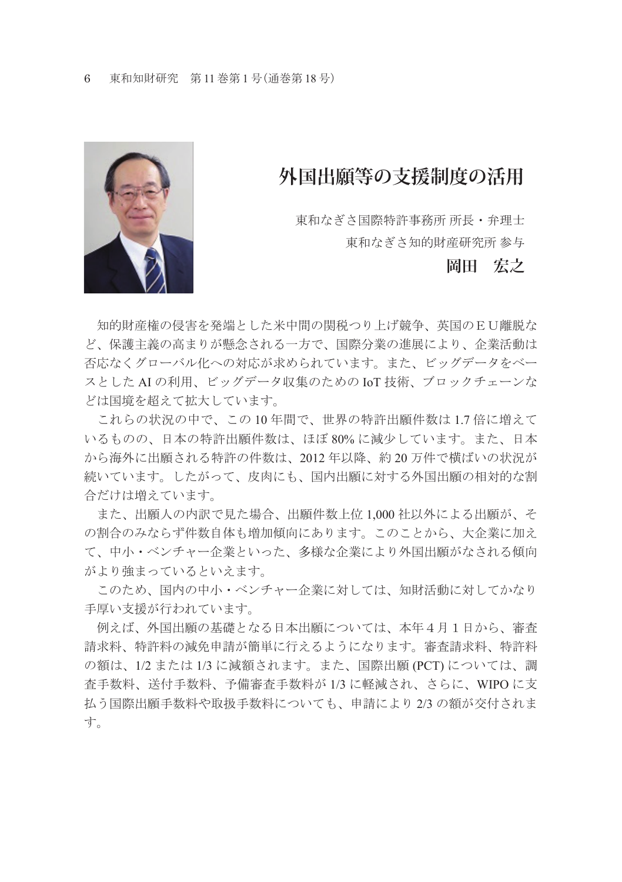

## **外国出願等の支援制度の活用**

東和なぎさ国際特許事務所 所長・弁理士 東和なぎさ知的財産研究所 参与

## **岡田 宏之**

 知的財産権の侵害を発端とした米中間の関税つり上げ競争、英国のEU離脱な ど、保護主義の高まりが懸念される一方で、国際分業の進展により、企業活動は 否応なくグローバル化への対応が求められています。また、ビッグデータをベー スとした AI の利用、ビッグデータ収集のための IoT 技術、ブロックチェーンな どは国境を超えて拡大しています。

 これらの状況の中で、この 10 年間で、世界の特許出願件数は 1.7 倍に増えて いるものの、日本の特許出願件数は、ほぼ 80% に減少しています。また、日本 から海外に出願される特許の件数は、2012 年以降、約 20 万件で横ばいの状況が 続いています。したがって、皮肉にも、国内出願に対する外国出願の相対的な割 合だけは増えています。

 また、出願人の内訳で見た場合、出願件数上位 1,000 社以外による出願が、そ の割合のみならず件数自体も増加傾向にあります。このことから、大企業に加え て、中小・ベンチャー企業といった、多様な企業により外国出願がなされる傾向 がより強まっているといえます。

 このため、国内の中小・ベンチャー企業に対しては、知財活動に対してかなり 手厚い支援が行われています。

 例えば、外国出願の基礎となる日本出願については、本年4月1日から、審査 請求料、特許料の減免申請が簡単に行えるようになります。審査請求料、特許料 の額は、1/2 または 1/3 に減額されます。また、国際出願 (PCT) については、調 査手数料、送付手数料、予備審査手数料が 1/3 に軽減され、さらに、WIPO に支 払う国際出願手数料や取扱手数料についても、申請により 2/3 の額が交付されま す。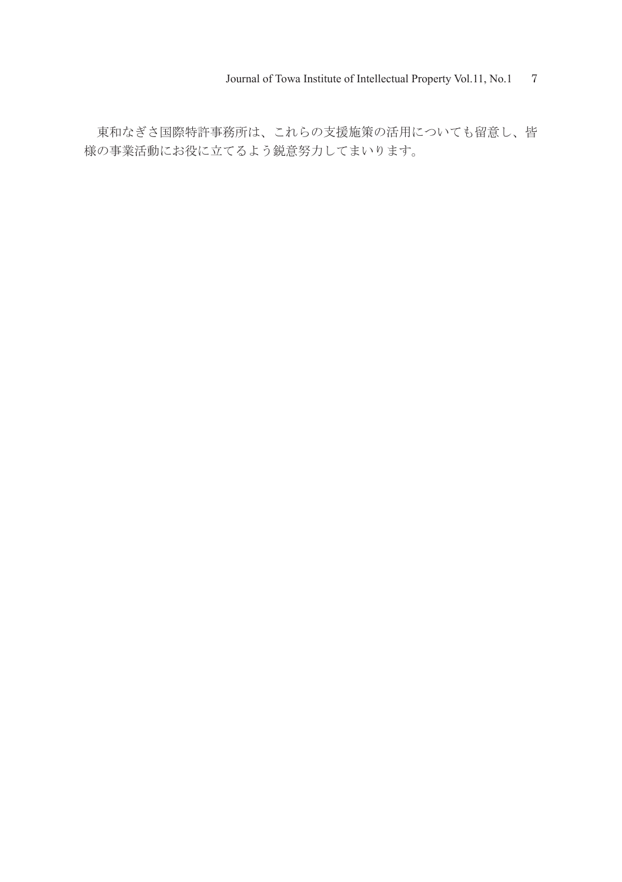東和なぎさ国際特許事務所は、これらの支援施策の活用についても留意し、皆 様の事業活動にお役に立てるよう鋭意努力してまいります。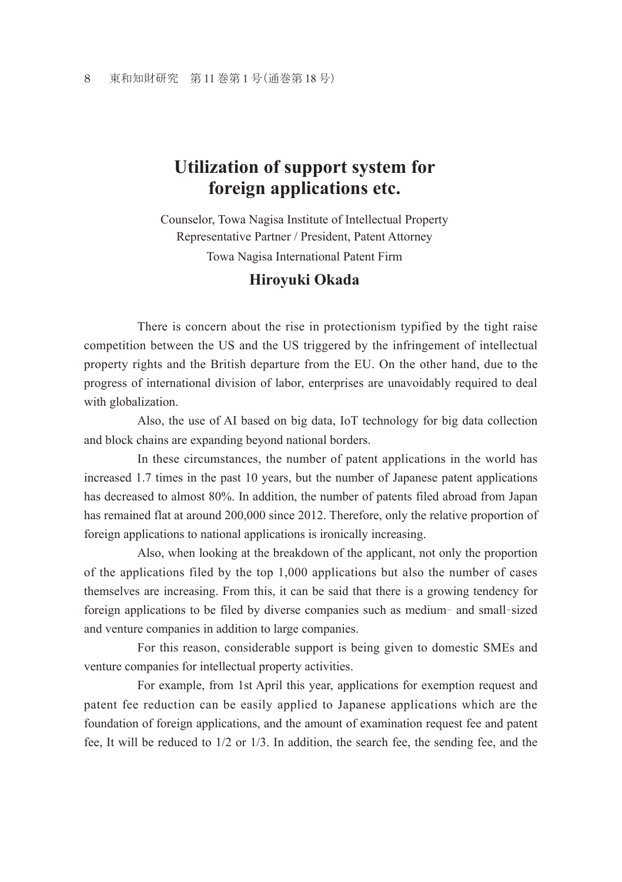## **Utilization of support system for foreign applications etc.**

Counselor, Towa Nagisa Institute of Intellectual Property Representative Partner / President, Patent Attorney Towa Nagisa International Patent Firm

## **Hiroyuki Okada**

 There is concern about the rise in protectionism typified by the tight raise competition between the US and the US triggered by the infringement of intellectual property rights and the British departure from the EU. On the other hand, due to the progress of international division of labor, enterprises are unavoidably required to deal with globalization.

 Also, the use of AI based on big data, IoT technology for big data collection and block chains are expanding beyond national borders.

 In these circumstances, the number of patent applications in the world has increased 1.7 times in the past 10 years, but the number of Japanese patent applications has decreased to almost 80%. In addition, the number of patents filed abroad from Japan has remained flat at around 200,000 since 2012. Therefore, only the relative proportion of foreign applications to national applications is ironically increasing.

 Also, when looking at the breakdown of the applicant, not only the proportion of the applications filed by the top 1,000 applications but also the number of cases themselves are increasing. From this, it can be said that there is a growing tendency for foreign applications to be filed by diverse companies such as medium- and small-sized and venture companies in addition to large companies.

 For this reason, considerable support is being given to domestic SMEs and venture companies for intellectual property activities.

 For example, from 1st April this year, applications for exemption request and patent fee reduction can be easily applied to Japanese applications which are the foundation of foreign applications, and the amount of examination request fee and patent fee, It will be reduced to 1/2 or 1/3. In addition, the search fee, the sending fee, and the